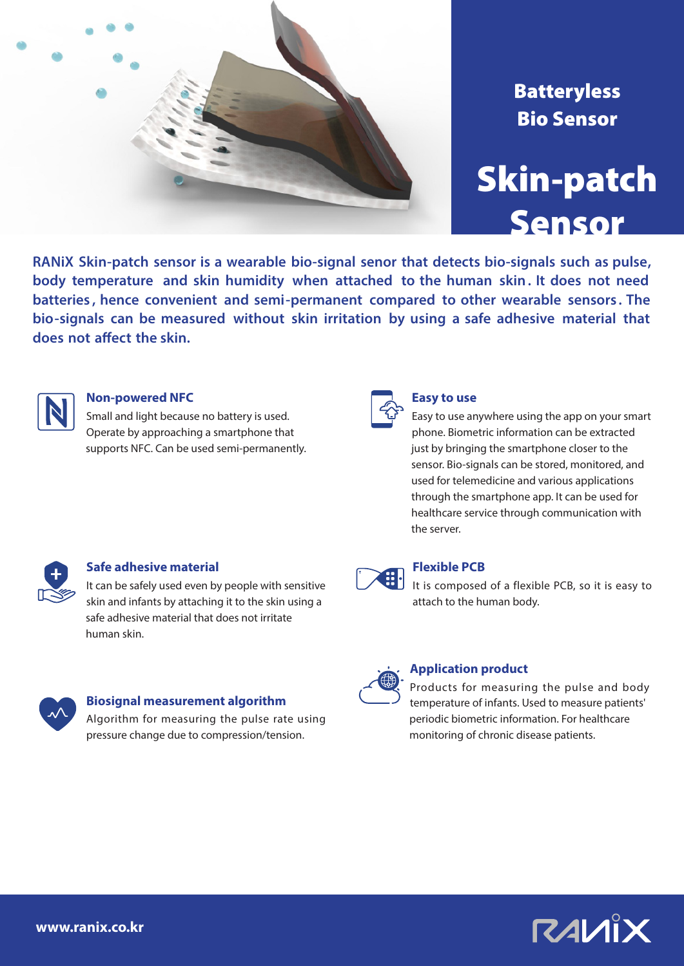

## **Batteryless** Bio Sensor

# Skin-patch Sensor

**RANiX Skin-patch sensor is a wearable bio-signal senor that detects bio-signals such as pulse, body temperature and skin humidity when attached to the human skin. It does not need batteries , hence convenient and semi-permanent compared to other wearable sensors . The bio-signals can be measured without skin irritation by using a safe adhesive material that does not affect the skin.**



## **Non-powered NFC**

Small and light because no battery is used. Operate by approaching a smartphone that supports NFC. Can be used semi-permanently.



#### **Easy to use**

Easy to use anywhere using the app on your smart phone. Biometric information can be extracted just by bringing the smartphone closer to the sensor. Bio-signals can be stored, monitored, and used for telemedicine and various applications through the smartphone app. It can be used for healthcare service through communication with the server.



## **Safe adhesive material**

It can be safely used even by people with sensitive skin and infants by attaching it to the skin using a safe adhesive material that does not irritate human skin.



#### **Biosignal measurement algorithm**

Algorithm for measuring the pulse rate using pressure change due to compression/tension.



## **Flexible PCB**

It is composed of a flexible PCB, so it is easy to attach to the human body.



## **Application product**

Products for measuring the pulse and body temperature of infants. Used to measure patients' periodic biometric information. For healthcare monitoring of chronic disease patients.